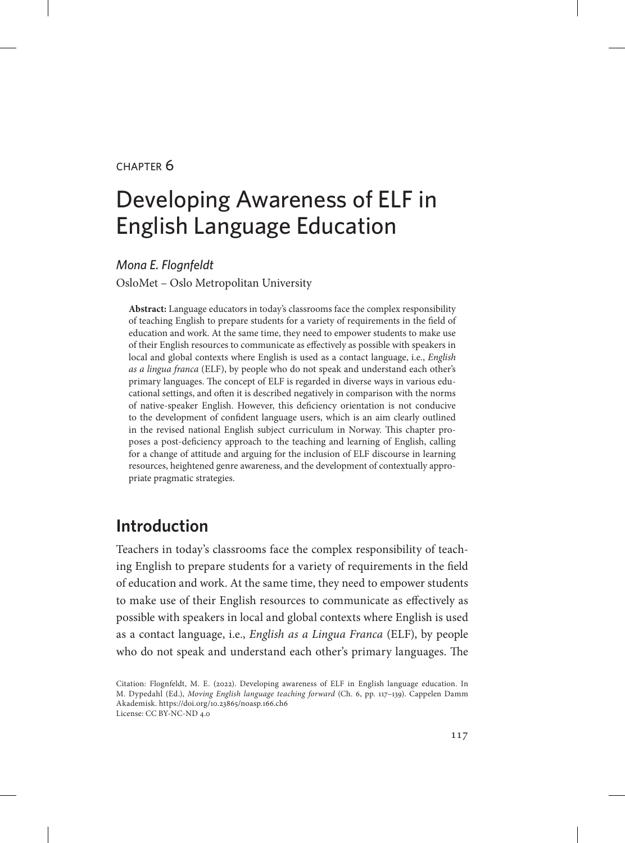#### chapter 6

# Developing Awareness of ELF in English Language Education

*Mona E. Flognfeldt*

OsloMet – Oslo Metropolitan University

**Abstract:** Language educators in today's classrooms face the complex responsibility of teaching English to prepare students for a variety of requirements in the field of education and work. At the same time, they need to empower students to make use of their English resources to communicate as effectively as possible with speakers in local and global contexts where English is used as a contact language, i.e., *English as a lingua franca* (ELF), by people who do not speak and understand each other's primary languages. The concept of ELF is regarded in diverse ways in various educational settings, and often it is described negatively in comparison with the norms of native-speaker English. However, this deficiency orientation is not conducive to the development of confident language users, which is an aim clearly outlined in the revised national English subject curriculum in Norway. This chapter proposes a post-deficiency approach to the teaching and learning of English, calling for a change of attitude and arguing for the inclusion of ELF discourse in learning resources, heightened genre awareness, and the development of contextually appropriate pragmatic strategies.

## **Introduction**

Teachers in today's classrooms face the complex responsibility of teaching English to prepare students for a variety of requirements in the field of education and work. At the same time, they need to empower students to make use of their English resources to communicate as effectively as possible with speakers in local and global contexts where English is used as a contact language, i.e., *English as a Lingua Franca* (ELF), by people who do not speak and understand each other's primary languages. The

Citation: Flognfeldt, M. E. (2022). Developing awareness of ELF in English language education. In M. Dypedahl (Ed.), *Moving English language teaching forward* (Ch. 6, pp. 117–139). Cappelen Damm Akademisk. https://doi.org/10.23865/noasp.166.ch6 License: CC BY-NC-ND 4.0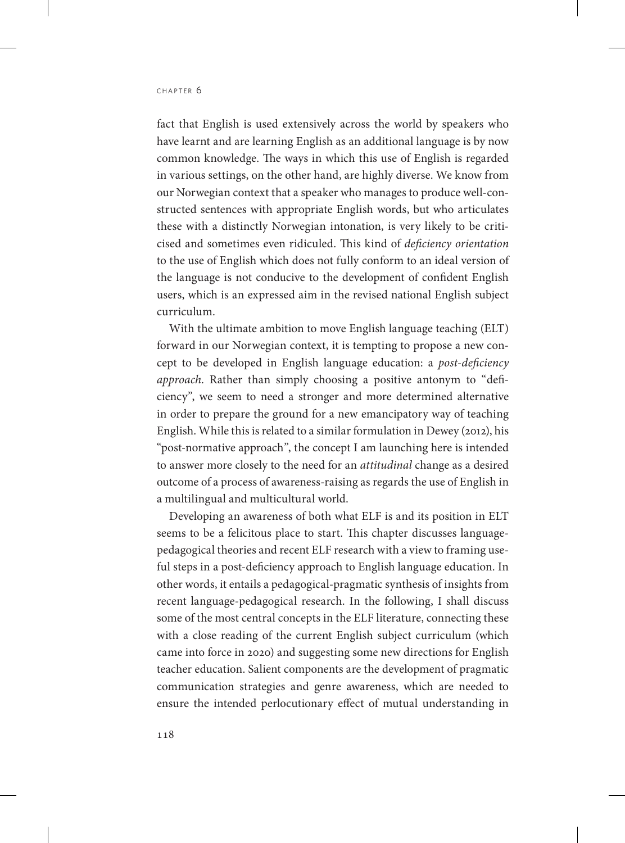fact that English is used extensively across the world by speakers who have learnt and are learning English as an additional language is by now common knowledge. The ways in which this use of English is regarded in various settings, on the other hand, are highly diverse. We know from our Norwegian context that a speaker who manages to produce well-constructed sentences with appropriate English words, but who articulates these with a distinctly Norwegian intonation, is very likely to be criticised and sometimes even ridiculed. This kind of *deficiency orientation* to the use of English which does not fully conform to an ideal version of the language is not conducive to the development of confident English users, which is an expressed aim in the revised national English subject curriculum.

With the ultimate ambition to move English language teaching (ELT) forward in our Norwegian context, it is tempting to propose a new concept to be developed in English language education: a *post-deficiency approach*. Rather than simply choosing a positive antonym to "deficiency", we seem to need a stronger and more determined alternative in order to prepare the ground for a new emancipatory way of teaching English. While this is related to a similar formulation in Dewey (2012), his "post-normative approach", the concept I am launching here is intended to answer more closely to the need for an *attitudinal* change as a desired outcome of a process of awareness-raising as regards the use of English in a multilingual and multicultural world.

Developing an awareness of both what ELF is and its position in ELT seems to be a felicitous place to start. This chapter discusses languagepedagogical theories and recent ELF research with a view to framing useful steps in a post-deficiency approach to English language education. In other words, it entails a pedagogical-pragmatic synthesis of insights from recent language-pedagogical research. In the following, I shall discuss some of the most central concepts in the ELF literature, connecting these with a close reading of the current English subject curriculum (which came into force in 2020) and suggesting some new directions for English teacher education. Salient components are the development of pragmatic communication strategies and genre awareness, which are needed to ensure the intended perlocutionary effect of mutual understanding in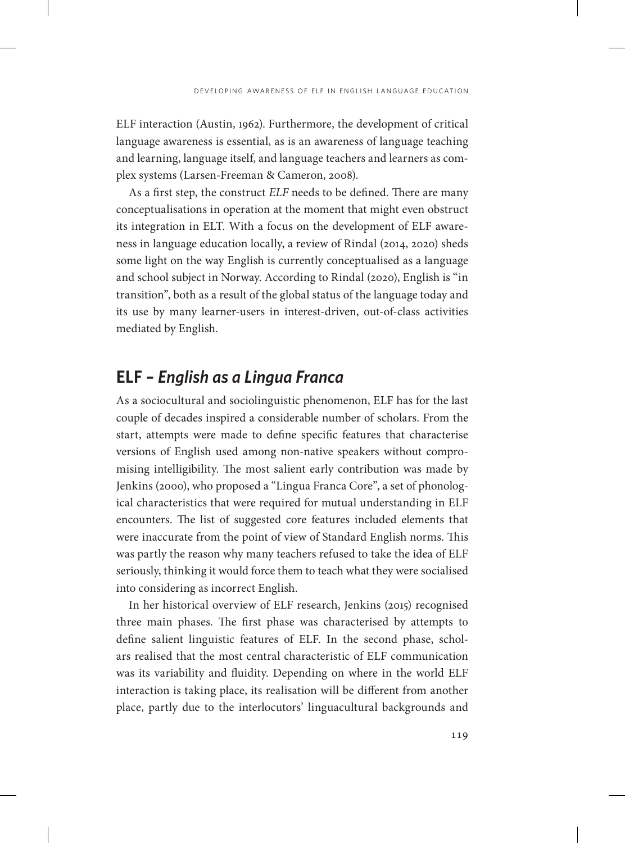ELF interaction (Austin, 1962). Furthermore, the development of critical language awareness is essential, as is an awareness of language teaching and learning, language itself, and language teachers and learners as complex systems (Larsen-Freeman & Cameron, 2008).

As a first step, the construct *ELF* needs to be defined. There are many conceptualisations in operation at the moment that might even obstruct its integration in ELT. With a focus on the development of ELF awareness in language education locally, a review of Rindal (2014, 2020) sheds some light on the way English is currently conceptualised as a language and school subject in Norway. According to Rindal (2020), English is "in transition", both as a result of the global status of the language today and its use by many learner-users in interest-driven, out-of-class activities mediated by English.

## **ELF –** *English as a Lingua Franca*

As a sociocultural and sociolinguistic phenomenon, ELF has for the last couple of decades inspired a considerable number of scholars. From the start, attempts were made to define specific features that characterise versions of English used among non-native speakers without compromising intelligibility. The most salient early contribution was made by Jenkins (2000), who proposed a "Lingua Franca Core", a set of phonological characteristics that were required for mutual understanding in ELF encounters. The list of suggested core features included elements that were inaccurate from the point of view of Standard English norms. This was partly the reason why many teachers refused to take the idea of ELF seriously, thinking it would force them to teach what they were socialised into considering as incorrect English.

In her historical overview of ELF research, Jenkins (2015) recognised three main phases. The first phase was characterised by attempts to define salient linguistic features of ELF. In the second phase, scholars realised that the most central characteristic of ELF communication was its variability and fluidity. Depending on where in the world ELF interaction is taking place, its realisation will be different from another place, partly due to the interlocutors' linguacultural backgrounds and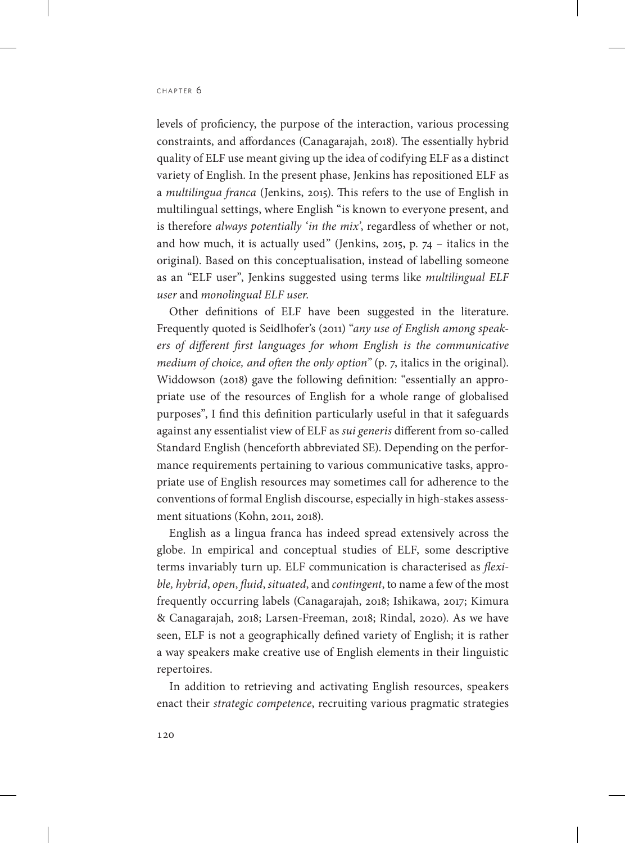levels of proficiency, the purpose of the interaction, various processing constraints, and affordances (Canagarajah, 2018). The essentially hybrid quality of ELF use meant giving up the idea of codifying ELF as a distinct variety of English. In the present phase, Jenkins has repositioned ELF as a *multilingua franca* (Jenkins, 2015). This refers to the use of English in multilingual settings, where English "is known to everyone present, and is therefore *always potentially 'in the mix'*, regardless of whether or not, and how much, it is actually used" (Jenkins, 2015, p. 74 – italics in the original). Based on this conceptualisation, instead of labelling someone as an "ELF user", Jenkins suggested using terms like *multilingual ELF user* and *monolingual ELF user*.

Other definitions of ELF have been suggested in the literature. Frequently quoted is Seidlhofer's (2011) "*any use of English among speakers of different first languages for whom English is the communicative medium of choice, and often the only option"* (p. 7, italics in the original). Widdowson (2018) gave the following definition: "essentially an appropriate use of the resources of English for a whole range of globalised purposes", I find this definition particularly useful in that it safeguards against any essentialist view of ELF as *sui generis* different from so-called Standard English (henceforth abbreviated SE). Depending on the performance requirements pertaining to various communicative tasks, appropriate use of English resources may sometimes call for adherence to the conventions of formal English discourse, especially in high-stakes assessment situations (Kohn, 2011, 2018).

English as a lingua franca has indeed spread extensively across the globe. In empirical and conceptual studies of ELF, some descriptive terms invariably turn up. ELF communication is characterised as *flexible, hybrid*, *open*, *fluid*, *situated*, and *contingent*, to name a few of the most frequently occurring labels (Canagarajah, 2018; Ishikawa, 2017; Kimura & Canagarajah, 2018; Larsen-Freeman, 2018; Rindal, 2020). As we have seen, ELF is not a geographically defined variety of English; it is rather a way speakers make creative use of English elements in their linguistic repertoires.

In addition to retrieving and activating English resources, speakers enact their *strategic competence*, recruiting various pragmatic strategies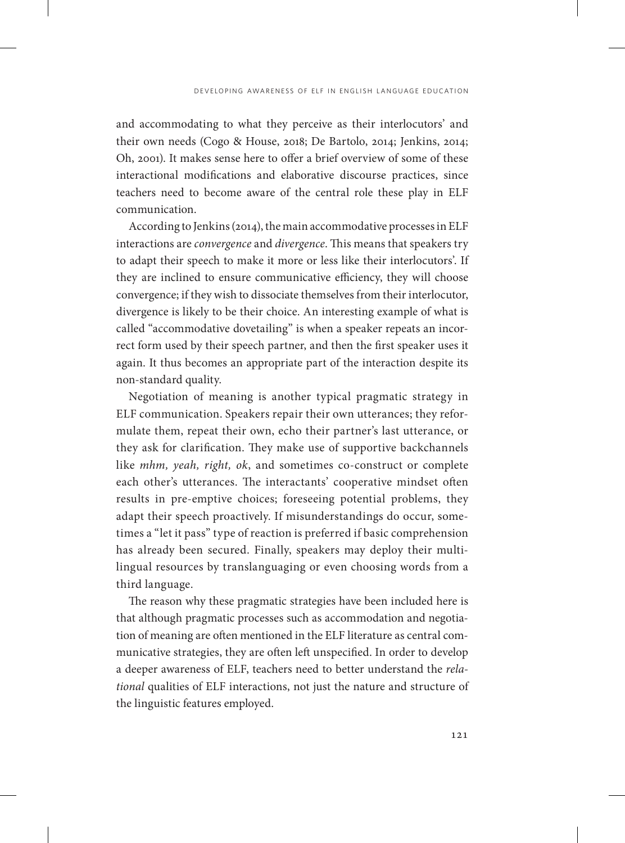and accommodating to what they perceive as their interlocutors' and their own needs (Cogo & House, 2018; De Bartolo, 2014; Jenkins, 2014; Oh, 2001). It makes sense here to offer a brief overview of some of these interactional modifications and elaborative discourse practices, since teachers need to become aware of the central role these play in ELF communication.

According to Jenkins (2014), the main accommodative processes in ELF interactions are *convergence* and *divergence*. This means that speakers try to adapt their speech to make it more or less like their interlocutors'. If they are inclined to ensure communicative efficiency, they will choose convergence; if they wish to dissociate themselves from their interlocutor, divergence is likely to be their choice. An interesting example of what is called "accommodative dovetailing" is when a speaker repeats an incorrect form used by their speech partner, and then the first speaker uses it again. It thus becomes an appropriate part of the interaction despite its non-standard quality.

Negotiation of meaning is another typical pragmatic strategy in ELF communication. Speakers repair their own utterances; they reformulate them, repeat their own, echo their partner's last utterance, or they ask for clarification. They make use of supportive backchannels like *mhm, yeah, right, ok*, and sometimes co-construct or complete each other's utterances. The interactants' cooperative mindset often results in pre-emptive choices; foreseeing potential problems, they adapt their speech proactively. If misunderstandings do occur, sometimes a "let it pass" type of reaction is preferred if basic comprehension has already been secured. Finally, speakers may deploy their multilingual resources by translanguaging or even choosing words from a third language.

The reason why these pragmatic strategies have been included here is that although pragmatic processes such as accommodation and negotiation of meaning are often mentioned in the ELF literature as central communicative strategies, they are often left unspecified. In order to develop a deeper awareness of ELF, teachers need to better understand the *relational* qualities of ELF interactions, not just the nature and structure of the linguistic features employed.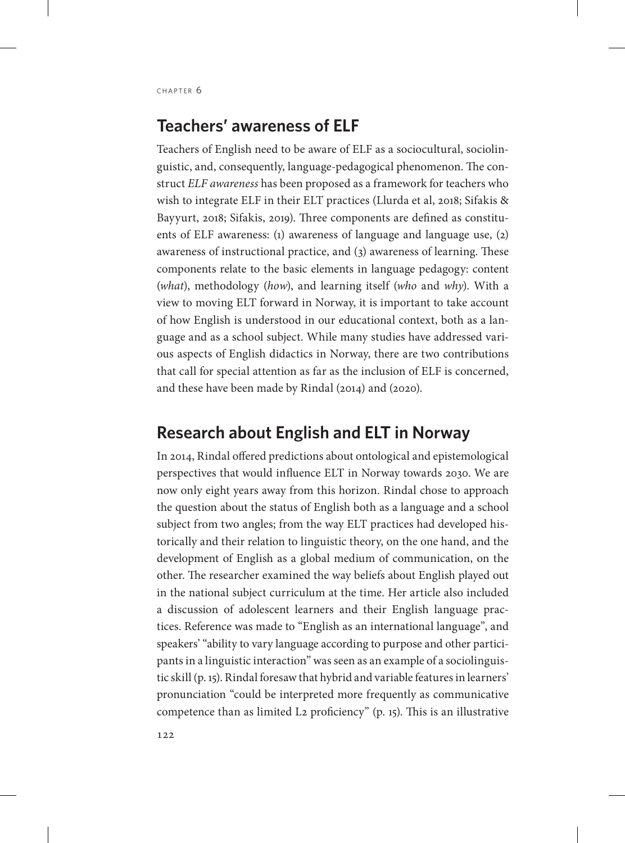## **Teachers' awareness of ELF**

Teachers of English need to be aware of ELF as a sociocultural, sociolinguistic, and, consequently, language-pedagogical phenomenon. The construct *ELF awareness* has been proposed as a framework for teachers who wish to integrate ELF in their ELT practices (Llurda et al, 2018; Sifakis & Bayyurt, 2018; Sifakis, 2019). Three components are defined as constituents of ELF awareness: (1) awareness of language and language use, (2) awareness of instructional practice, and (3) awareness of learning. These components relate to the basic elements in language pedagogy: content (*what*), methodology (*how*), and learning itself (*who* and *why*). With a view to moving ELT forward in Norway, it is important to take account of how English is understood in our educational context, both as a language and as a school subject. While many studies have addressed various aspects of English didactics in Norway, there are two contributions that call for special attention as far as the inclusion of ELF is concerned, and these have been made by Rindal (2014) and (2020).

## **Research about English and ELT in Norway**

In 2014, Rindal offered predictions about ontological and epistemological perspectives that would influence ELT in Norway towards 2030. We are now only eight years away from this horizon. Rindal chose to approach the question about the status of English both as a language and a school subject from two angles; from the way ELT practices had developed historically and their relation to linguistic theory, on the one hand, and the development of English as a global medium of communication, on the other. The researcher examined the way beliefs about English played out in the national subject curriculum at the time. Her article also included a discussion of adolescent learners and their English language practices. Reference was made to "English as an international language", and speakers' "ability to vary language according to purpose and other participants in a linguistic interaction" was seen as an example of a sociolinguistic skill (p. 15). Rindal foresaw that hybrid and variable features in learners' pronunciation "could be interpreted more frequently as communicative competence than as limited L2 proficiency" (p. 15). This is an illustrative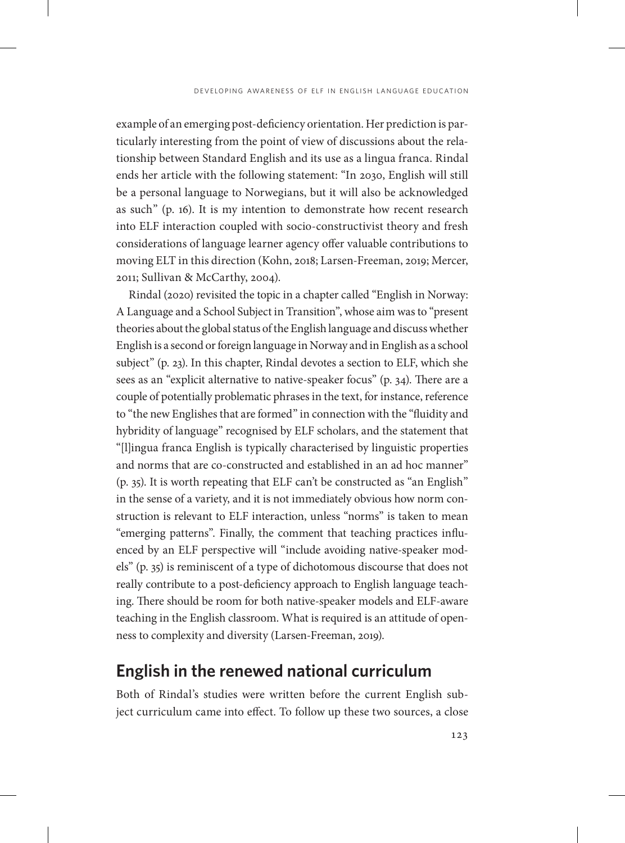example of an emerging post-deficiency orientation. Her prediction is particularly interesting from the point of view of discussions about the relationship between Standard English and its use as a lingua franca. Rindal ends her article with the following statement: "In 2030, English will still be a personal language to Norwegians, but it will also be acknowledged as such" (p. 16). It is my intention to demonstrate how recent research into ELF interaction coupled with socio-constructivist theory and fresh considerations of language learner agency offer valuable contributions to moving ELT in this direction (Kohn, 2018; Larsen-Freeman, 2019; Mercer, 2011; Sullivan & McCarthy, 2004).

Rindal (2020) revisited the topic in a chapter called "English in Norway: A Language and a School Subject in Transition", whose aim was to "present theories about the global status of the English language and discuss whether English is a second or foreign language in Norway and in English as a school subject" (p. 23). In this chapter, Rindal devotes a section to ELF, which she sees as an "explicit alternative to native-speaker focus" (p. 34). There are a couple of potentially problematic phrases in the text, for instance, reference to "the new Englishes that are formed" in connection with the "fluidity and hybridity of language" recognised by ELF scholars, and the statement that "[l]ingua franca English is typically characterised by linguistic properties and norms that are co-constructed and established in an ad hoc manner" (p. 35). It is worth repeating that ELF can't be constructed as "an English" in the sense of a variety, and it is not immediately obvious how norm construction is relevant to ELF interaction, unless "norms" is taken to mean "emerging patterns". Finally, the comment that teaching practices influenced by an ELF perspective will "include avoiding native-speaker models" (p. 35) is reminiscent of a type of dichotomous discourse that does not really contribute to a post-deficiency approach to English language teaching. There should be room for both native-speaker models and ELF-aware teaching in the English classroom. What is required is an attitude of openness to complexity and diversity (Larsen-Freeman, 2019).

### **English in the renewed national curriculum**

Both of Rindal's studies were written before the current English subject curriculum came into effect. To follow up these two sources, a close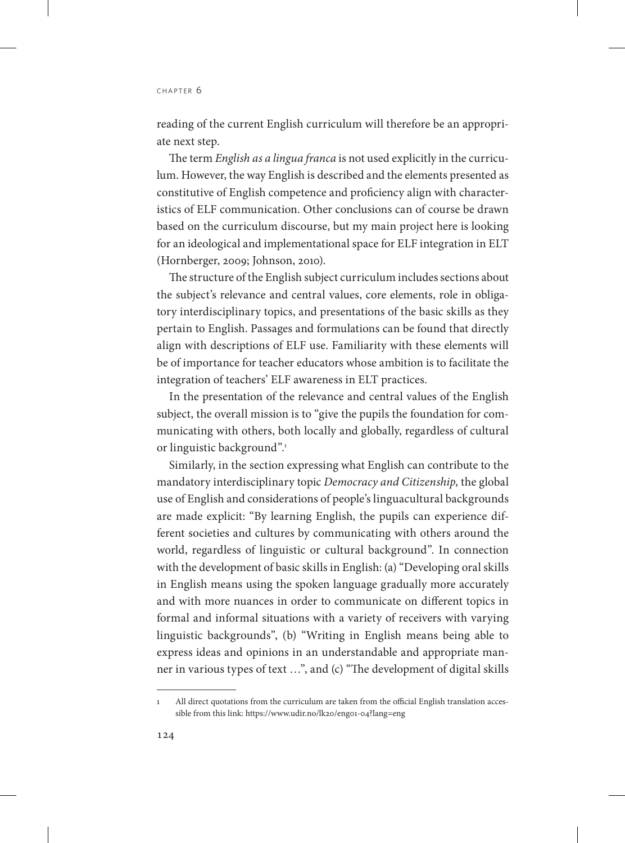reading of the current English curriculum will therefore be an appropriate next step.

The term *English as a lingua franca* is not used explicitly in the curriculum. However, the way English is described and the elements presented as constitutive of English competence and proficiency align with characteristics of ELF communication. Other conclusions can of course be drawn based on the curriculum discourse, but my main project here is looking for an ideological and implementational space for ELF integration in ELT (Hornberger, 2009; Johnson, 2010).

The structure of the English subject curriculum includes sections about the subject's relevance and central values, core elements, role in obligatory interdisciplinary topics, and presentations of the basic skills as they pertain to English. Passages and formulations can be found that directly align with descriptions of ELF use. Familiarity with these elements will be of importance for teacher educators whose ambition is to facilitate the integration of teachers' ELF awareness in ELT practices.

In the presentation of the relevance and central values of the English subject, the overall mission is to "give the pupils the foundation for communicating with others, both locally and globally, regardless of cultural or linguistic background".<sup>1</sup>

Similarly, in the section expressing what English can contribute to the mandatory interdisciplinary topic *Democracy and Citizenship*, the global use of English and considerations of people's linguacultural backgrounds are made explicit: "By learning English, the pupils can experience different societies and cultures by communicating with others around the world, regardless of linguistic or cultural background". In connection with the development of basic skills in English: (a) "Developing oral skills in English means using the spoken language gradually more accurately and with more nuances in order to communicate on different topics in formal and informal situations with a variety of receivers with varying linguistic backgrounds", (b) "Writing in English means being able to express ideas and opinions in an understandable and appropriate manner in various types of text …", and (c) "The development of digital skills

<sup>1</sup> All direct quotations from the curriculum are taken from the official English translation accessible from this link:<https://www.udir.no/lk20/eng01-04?lang=eng>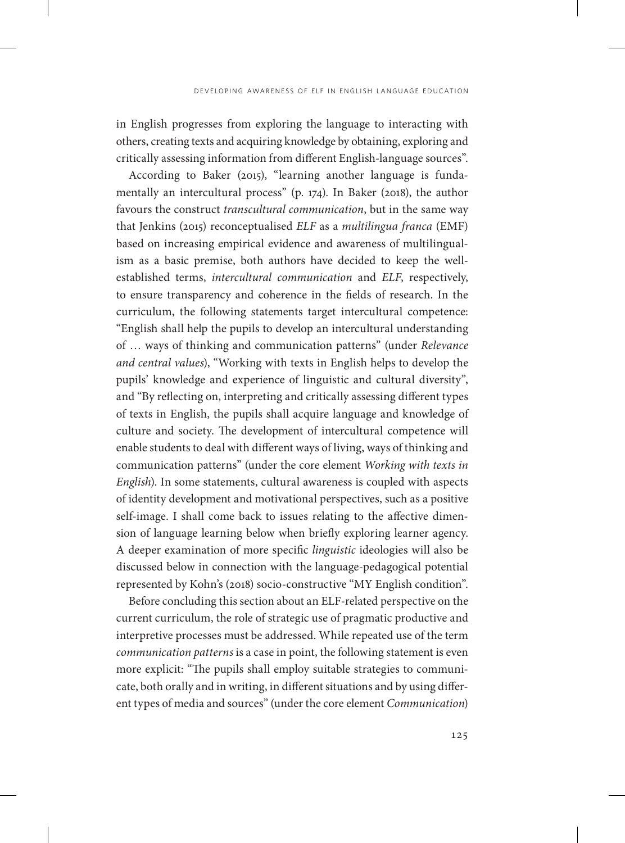in English progresses from exploring the language to interacting with others, creating texts and acquiring knowledge by obtaining, exploring and critically assessing information from different English-language sources".

According to Baker (2015), "learning another language is fundamentally an intercultural process" (p. 174). In Baker (2018), the author favours the construct *transcultural communication*, but in the same way that Jenkins (2015) reconceptualised *ELF* as a *multilingua franca* (EMF) based on increasing empirical evidence and awareness of multilingualism as a basic premise, both authors have decided to keep the wellestablished terms, *intercultural communication* and *ELF*, respectively, to ensure transparency and coherence in the fields of research. In the curriculum, the following statements target intercultural competence: "English shall help the pupils to develop an intercultural understanding of … ways of thinking and communication patterns" (under *Relevance and central values*), "Working with texts in English helps to develop the pupils' knowledge and experience of linguistic and cultural diversity", and "By reflecting on, interpreting and critically assessing different types of texts in English, the pupils shall acquire language and knowledge of culture and society. The development of intercultural competence will enable students to deal with different ways of living, ways of thinking and communication patterns" (under the core element *Working with texts in English*). In some statements, cultural awareness is coupled with aspects of identity development and motivational perspectives, such as a positive self-image. I shall come back to issues relating to the affective dimension of language learning below when briefly exploring learner agency. A deeper examination of more specific *linguistic* ideologies will also be discussed below in connection with the language-pedagogical potential represented by Kohn's (2018) socio-constructive "MY English condition".

Before concluding this section about an ELF-related perspective on the current curriculum, the role of strategic use of pragmatic productive and interpretive processes must be addressed. While repeated use of the term *communication patterns* is a case in point, the following statement is even more explicit: "The pupils shall employ suitable strategies to communicate, both orally and in writing, in different situations and by using different types of media and sources" (under the core element *Communication*)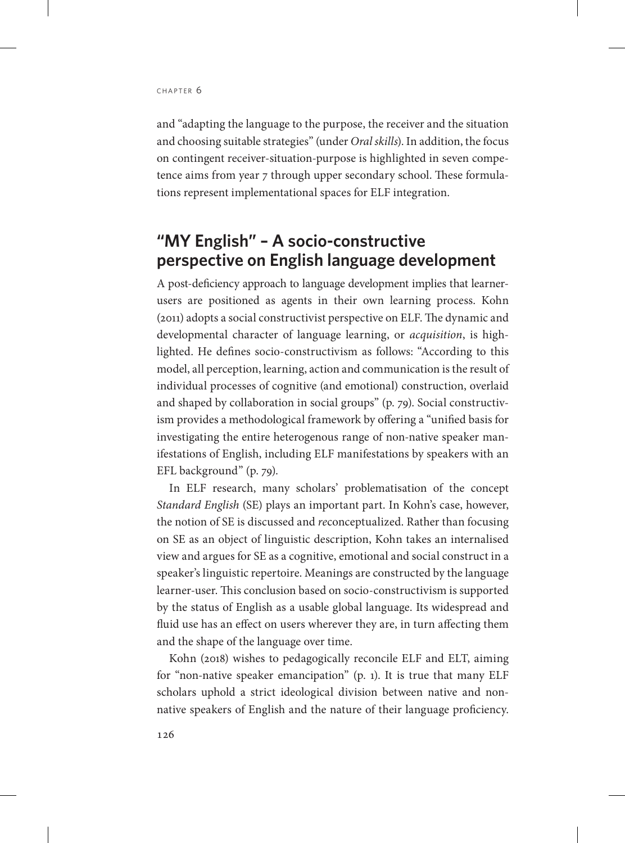and "adapting the language to the purpose, the receiver and the situation and choosing suitable strategies" (under *Oral skills*). In addition, the focus on contingent receiver-situation-purpose is highlighted in seven competence aims from year 7 through upper secondary school. These formulations represent implementational spaces for ELF integration.

## **"MY English" – A socio-constructive perspective on English language development**

A post-deficiency approach to language development implies that learnerusers are positioned as agents in their own learning process. Kohn (2011) adopts a social constructivist perspective on ELF. The dynamic and developmental character of language learning, or *acquisition*, is highlighted. He defines socio-constructivism as follows: "According to this model, all perception, learning, action and communication is the result of individual processes of cognitive (and emotional) construction, overlaid and shaped by collaboration in social groups" (p. 79). Social constructivism provides a methodological framework by offering a "unified basis for investigating the entire heterogenous range of non-native speaker manifestations of English, including ELF manifestations by speakers with an EFL background" (p. 79).

In ELF research, many scholars' problematisation of the concept *Standard English* (SE) plays an important part. In Kohn's case, however, the notion of SE is discussed and *re*conceptualized. Rather than focusing on SE as an object of linguistic description, Kohn takes an internalised view and argues for SE as a cognitive, emotional and social construct in a speaker's linguistic repertoire. Meanings are constructed by the language learner-user. This conclusion based on socio-constructivism is supported by the status of English as a usable global language. Its widespread and fluid use has an effect on users wherever they are, in turn affecting them and the shape of the language over time.

Kohn (2018) wishes to pedagogically reconcile ELF and ELT, aiming for "non-native speaker emancipation" (p. 1). It is true that many ELF scholars uphold a strict ideological division between native and nonnative speakers of English and the nature of their language proficiency.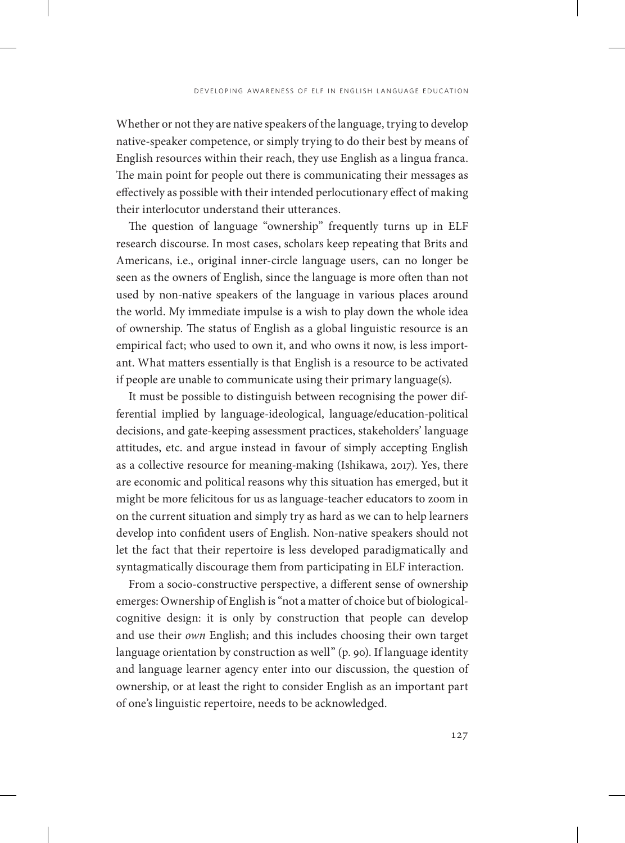Whether or not they are native speakers of the language, trying to develop native-speaker competence, or simply trying to do their best by means of English resources within their reach, they use English as a lingua franca. The main point for people out there is communicating their messages as effectively as possible with their intended perlocutionary effect of making their interlocutor understand their utterances.

The question of language "ownership" frequently turns up in ELF research discourse. In most cases, scholars keep repeating that Brits and Americans, i.e., original inner-circle language users, can no longer be seen as the owners of English, since the language is more often than not used by non-native speakers of the language in various places around the world. My immediate impulse is a wish to play down the whole idea of ownership. The status of English as a global linguistic resource is an empirical fact; who used to own it, and who owns it now, is less important. What matters essentially is that English is a resource to be activated if people are unable to communicate using their primary language(s).

It must be possible to distinguish between recognising the power differential implied by language-ideological, language/education-political decisions, and gate-keeping assessment practices, stakeholders' language attitudes, etc. and argue instead in favour of simply accepting English as a collective resource for meaning-making (Ishikawa, 2017). Yes, there are economic and political reasons why this situation has emerged, but it might be more felicitous for us as language-teacher educators to zoom in on the current situation and simply try as hard as we can to help learners develop into confident users of English. Non-native speakers should not let the fact that their repertoire is less developed paradigmatically and syntagmatically discourage them from participating in ELF interaction.

From a socio-constructive perspective, a different sense of ownership emerges: Ownership of English is "not a matter of choice but of biologicalcognitive design: it is only by construction that people can develop and use their *own* English; and this includes choosing their own target language orientation by construction as well" (p. 90). If language identity and language learner agency enter into our discussion, the question of ownership, or at least the right to consider English as an important part of one's linguistic repertoire, needs to be acknowledged.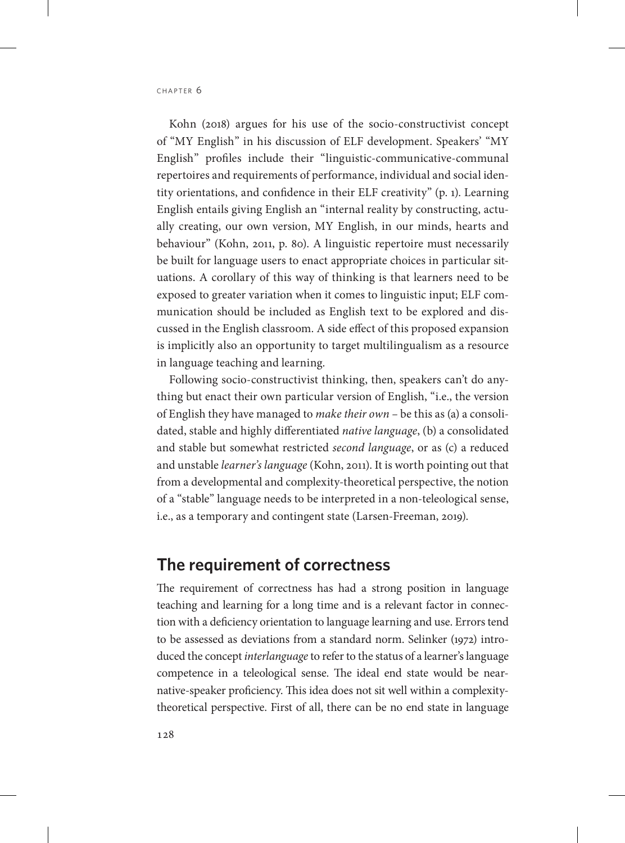Kohn (2018) argues for his use of the socio-constructivist concept of "MY English" in his discussion of ELF development. Speakers' "MY English" profiles include their "linguistic-communicative-communal repertoires and requirements of performance, individual and social identity orientations, and confidence in their ELF creativity" (p. 1). Learning English entails giving English an "internal reality by constructing, actually creating, our own version, MY English, in our minds, hearts and behaviour" (Kohn, 2011, p. 80). A linguistic repertoire must necessarily be built for language users to enact appropriate choices in particular situations. A corollary of this way of thinking is that learners need to be exposed to greater variation when it comes to linguistic input; ELF communication should be included as English text to be explored and discussed in the English classroom. A side effect of this proposed expansion is implicitly also an opportunity to target multilingualism as a resource in language teaching and learning.

Following socio-constructivist thinking, then, speakers can't do anything but enact their own particular version of English, "i.e., the version of English they have managed to *make their own –* be this as (a) a consolidated, stable and highly differentiated *native language*, (b) a consolidated and stable but somewhat restricted *second language*, or as (c) a reduced and unstable *learner's language* (Kohn, 2011). It is worth pointing out that from a developmental and complexity-theoretical perspective, the notion of a "stable" language needs to be interpreted in a non-teleological sense, i.e., as a temporary and contingent state (Larsen-Freeman, 2019).

### **The requirement of correctness**

The requirement of correctness has had a strong position in language teaching and learning for a long time and is a relevant factor in connection with a deficiency orientation to language learning and use. Errors tend to be assessed as deviations from a standard norm. Selinker (1972) introduced the concept *interlanguage* to refer to the status of a learner's language competence in a teleological sense. The ideal end state would be nearnative-speaker proficiency. This idea does not sit well within a complexitytheoretical perspective. First of all, there can be no end state in language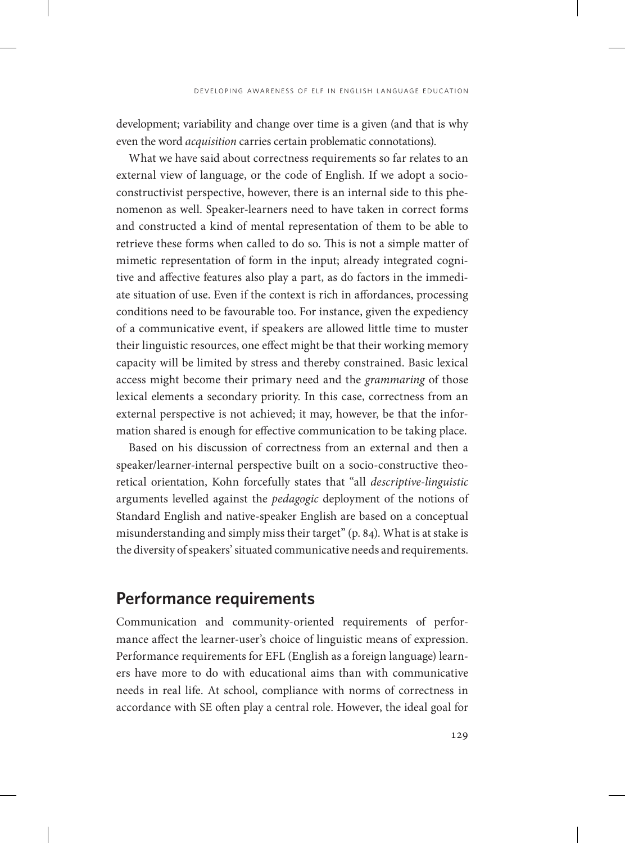development; variability and change over time is a given (and that is why even the word *acquisition* carries certain problematic connotations).

What we have said about correctness requirements so far relates to an external view of language, or the code of English. If we adopt a socioconstructivist perspective, however, there is an internal side to this phenomenon as well. Speaker-learners need to have taken in correct forms and constructed a kind of mental representation of them to be able to retrieve these forms when called to do so. This is not a simple matter of mimetic representation of form in the input; already integrated cognitive and affective features also play a part, as do factors in the immediate situation of use. Even if the context is rich in affordances, processing conditions need to be favourable too. For instance, given the expediency of a communicative event, if speakers are allowed little time to muster their linguistic resources, one effect might be that their working memory capacity will be limited by stress and thereby constrained. Basic lexical access might become their primary need and the *grammaring* of those lexical elements a secondary priority. In this case, correctness from an external perspective is not achieved; it may, however, be that the information shared is enough for effective communication to be taking place.

Based on his discussion of correctness from an external and then a speaker/learner-internal perspective built on a socio-constructive theoretical orientation, Kohn forcefully states that "all *descriptive-linguistic* arguments levelled against the *pedagogic* deployment of the notions of Standard English and native-speaker English are based on a conceptual misunderstanding and simply miss their target" (p. 84). What is at stake is the diversity of speakers' situated communicative needs and requirements.

## **Performance requirements**

Communication and community-oriented requirements of performance affect the learner-user's choice of linguistic means of expression. Performance requirements for EFL (English as a foreign language) learners have more to do with educational aims than with communicative needs in real life. At school, compliance with norms of correctness in accordance with SE often play a central role. However, the ideal goal for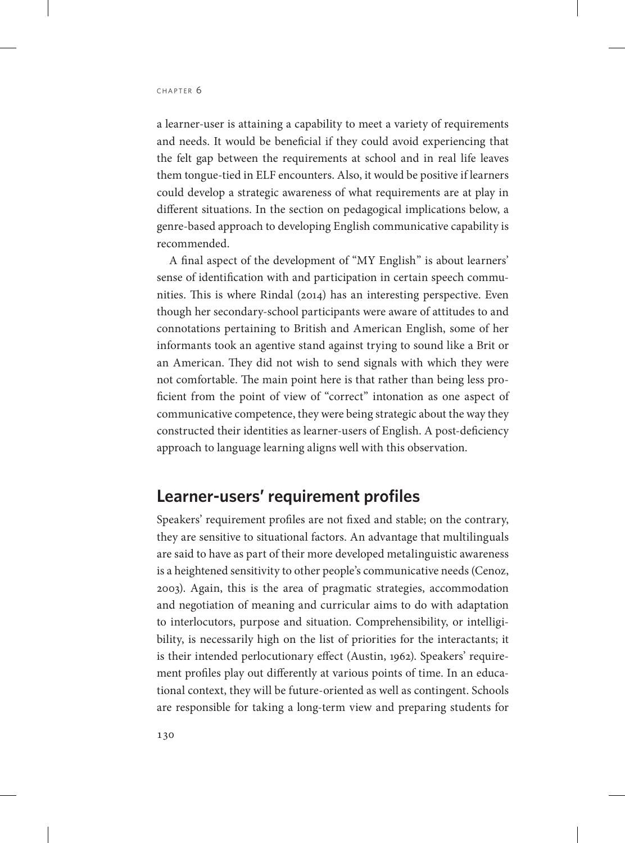a learner-user is attaining a capability to meet a variety of requirements and needs. It would be beneficial if they could avoid experiencing that the felt gap between the requirements at school and in real life leaves them tongue-tied in ELF encounters. Also, it would be positive if learners could develop a strategic awareness of what requirements are at play in different situations. In the section on pedagogical implications below, a genre-based approach to developing English communicative capability is recommended.

A final aspect of the development of "MY English" is about learners' sense of identification with and participation in certain speech communities. This is where Rindal (2014) has an interesting perspective. Even though her secondary-school participants were aware of attitudes to and connotations pertaining to British and American English, some of her informants took an agentive stand against trying to sound like a Brit or an American. They did not wish to send signals with which they were not comfortable. The main point here is that rather than being less proficient from the point of view of "correct" intonation as one aspect of communicative competence, they were being strategic about the way they constructed their identities as learner-users of English. A post-deficiency approach to language learning aligns well with this observation.

## **Learner-users' requirement profiles**

Speakers' requirement profiles are not fixed and stable; on the contrary, they are sensitive to situational factors. An advantage that multilinguals are said to have as part of their more developed metalinguistic awareness is a heightened sensitivity to other people's communicative needs (Cenoz, 2003). Again, this is the area of pragmatic strategies, accommodation and negotiation of meaning and curricular aims to do with adaptation to interlocutors, purpose and situation. Comprehensibility, or intelligibility, is necessarily high on the list of priorities for the interactants; it is their intended perlocutionary effect (Austin, 1962). Speakers' requirement profiles play out differently at various points of time. In an educational context, they will be future-oriented as well as contingent. Schools are responsible for taking a long-term view and preparing students for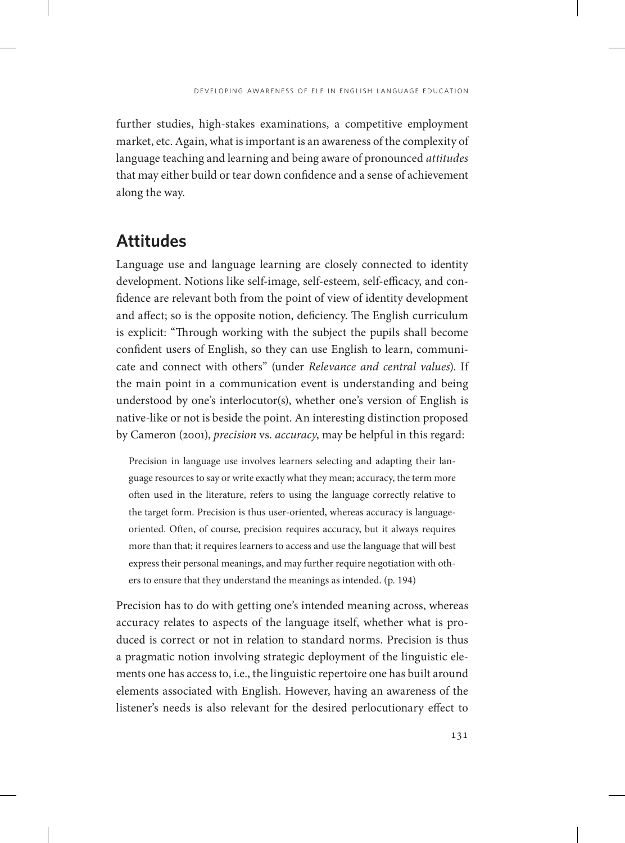further studies, high-stakes examinations, a competitive employment market, etc. Again, what is important is an awareness of the complexity of language teaching and learning and being aware of pronounced *attitudes* that may either build or tear down confidence and a sense of achievement along the way.

## **Attitudes**

Language use and language learning are closely connected to identity development. Notions like self-image, self-esteem, self-efficacy, and confidence are relevant both from the point of view of identity development and affect; so is the opposite notion, deficiency. The English curriculum is explicit: "Through working with the subject the pupils shall become confident users of English, so they can use English to learn, communicate and connect with others" (under *Relevance and central values*). If the main point in a communication event is understanding and being understood by one's interlocutor(s), whether one's version of English is native-like or not is beside the point. An interesting distinction proposed by Cameron (2001), *precision* vs. *accuracy*, may be helpful in this regard:

Precision in language use involves learners selecting and adapting their language resources to say or write exactly what they mean; accuracy, the term more often used in the literature, refers to using the language correctly relative to the target form. Precision is thus user-oriented, whereas accuracy is languageoriented. Often, of course, precision requires accuracy, but it always requires more than that; it requires learners to access and use the language that will best express their personal meanings, and may further require negotiation with others to ensure that they understand the meanings as intended. (p. 194)

Precision has to do with getting one's intended meaning across, whereas accuracy relates to aspects of the language itself, whether what is produced is correct or not in relation to standard norms. Precision is thus a pragmatic notion involving strategic deployment of the linguistic elements one has access to, i.e., the linguistic repertoire one has built around elements associated with English. However, having an awareness of the listener's needs is also relevant for the desired perlocutionary effect to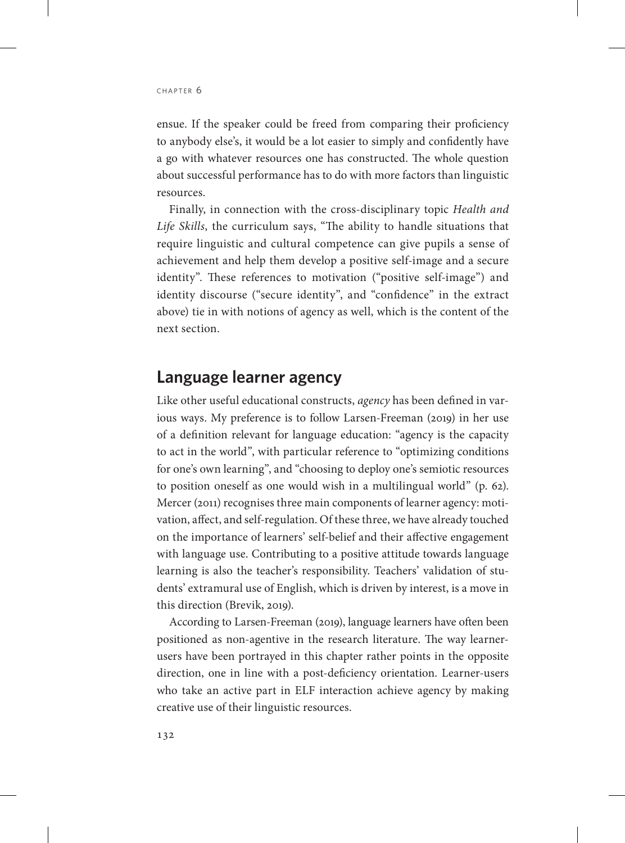ensue. If the speaker could be freed from comparing their proficiency to anybody else's, it would be a lot easier to simply and confidently have a go with whatever resources one has constructed. The whole question about successful performance has to do with more factors than linguistic resources.

Finally, in connection with the cross-disciplinary topic *Health and Life Skills*, the curriculum says, "The ability to handle situations that require linguistic and cultural competence can give pupils a sense of achievement and help them develop a positive self-image and a secure identity". These references to motivation ("positive self-image") and identity discourse ("secure identity", and "confidence" in the extract above) tie in with notions of agency as well, which is the content of the next section.

## **Language learner agency**

Like other useful educational constructs, *agency* has been defined in various ways. My preference is to follow Larsen-Freeman (2019) in her use of a definition relevant for language education: "agency is the capacity to act in the world", with particular reference to "optimizing conditions for one's own learning", and "choosing to deploy one's semiotic resources to position oneself as one would wish in a multilingual world" (p. 62). Mercer (2011) recognises three main components of learner agency: motivation, affect, and self-regulation. Of these three, we have already touched on the importance of learners' self-belief and their affective engagement with language use. Contributing to a positive attitude towards language learning is also the teacher's responsibility. Teachers' validation of students' extramural use of English, which is driven by interest, is a move in this direction (Brevik, 2019).

According to Larsen-Freeman (2019), language learners have often been positioned as non-agentive in the research literature. The way learnerusers have been portrayed in this chapter rather points in the opposite direction, one in line with a post-deficiency orientation. Learner-users who take an active part in ELF interaction achieve agency by making creative use of their linguistic resources.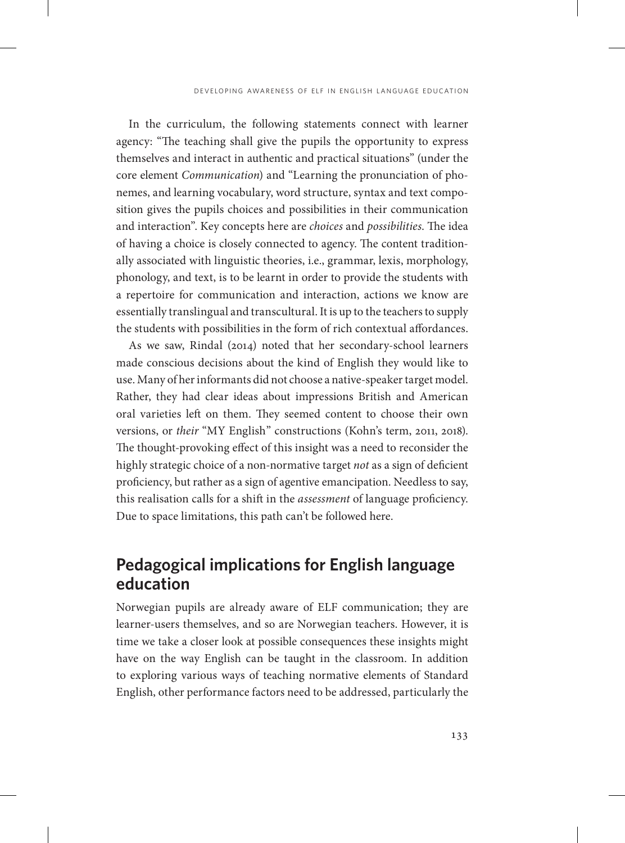In the curriculum, the following statements connect with learner agency: "The teaching shall give the pupils the opportunity to express themselves and interact in authentic and practical situations" (under the core element *Communication*) and "Learning the pronunciation of phonemes, and learning vocabulary, word structure, syntax and text composition gives the pupils choices and possibilities in their communication and interaction". Key concepts here are *choices* and *possibilities*. The idea of having a choice is closely connected to agency. The content traditionally associated with linguistic theories, i.e., grammar, lexis, morphology, phonology, and text, is to be learnt in order to provide the students with a repertoire for communication and interaction, actions we know are essentially translingual and transcultural. It is up to the teachers to supply the students with possibilities in the form of rich contextual affordances.

As we saw, Rindal (2014) noted that her secondary-school learners made conscious decisions about the kind of English they would like to use. Many of her informants did not choose a native-speaker target model. Rather, they had clear ideas about impressions British and American oral varieties left on them. They seemed content to choose their own versions, or *their* "MY English" constructions (Kohn's term, 2011, 2018). The thought-provoking effect of this insight was a need to reconsider the highly strategic choice of a non-normative target *not* as a sign of deficient proficiency, but rather as a sign of agentive emancipation. Needless to say, this realisation calls for a shift in the *assessment* of language proficiency. Due to space limitations, this path can't be followed here.

## **Pedagogical implications for English language education**

Norwegian pupils are already aware of ELF communication; they are learner-users themselves, and so are Norwegian teachers. However, it is time we take a closer look at possible consequences these insights might have on the way English can be taught in the classroom. In addition to exploring various ways of teaching normative elements of Standard English, other performance factors need to be addressed, particularly the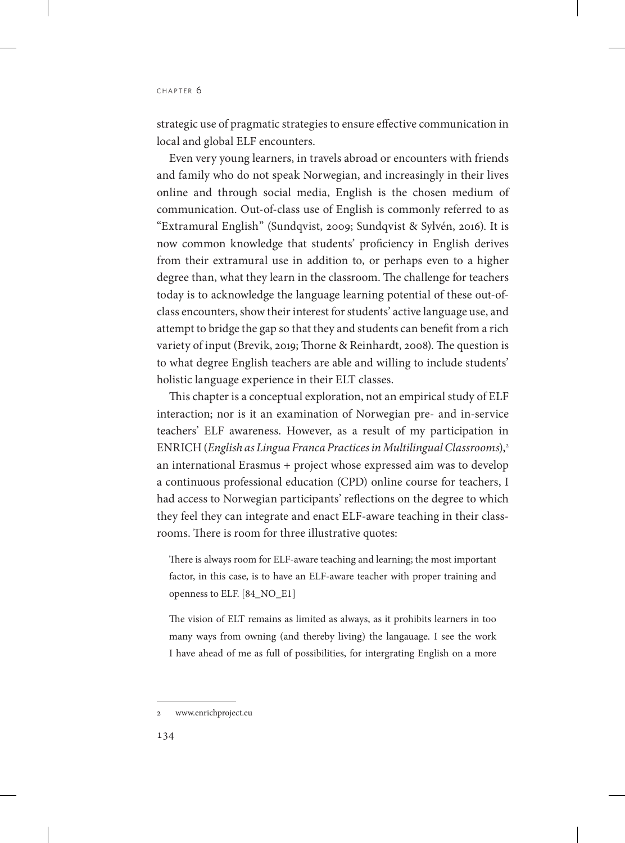strategic use of pragmatic strategies to ensure effective communication in local and global ELF encounters.

Even very young learners, in travels abroad or encounters with friends and family who do not speak Norwegian, and increasingly in their lives online and through social media, English is the chosen medium of communication. Out-of-class use of English is commonly referred to as "Extramural English" (Sundqvist, 2009; Sundqvist & Sylvén, 2016). It is now common knowledge that students' proficiency in English derives from their extramural use in addition to, or perhaps even to a higher degree than, what they learn in the classroom. The challenge for teachers today is to acknowledge the language learning potential of these out-ofclass encounters, show their interest for students' active language use, and attempt to bridge the gap so that they and students can benefit from a rich variety of input (Brevik, 2019; Thorne & Reinhardt, 2008). The question is to what degree English teachers are able and willing to include students' holistic language experience in their ELT classes.

This chapter is a conceptual exploration, not an empirical study of ELF interaction; nor is it an examination of Norwegian pre- and in-service teachers' ELF awareness. However, as a result of my participation in ENRICH (*English as Lingua Franca Practices in Multilingual Classrooms*),2 an international Erasmus + project whose expressed aim was to develop a continuous professional education (CPD) online course for teachers, I had access to Norwegian participants' reflections on the degree to which they feel they can integrate and enact ELF-aware teaching in their classrooms. There is room for three illustrative quotes:

There is always room for ELF-aware teaching and learning; the most important factor, in this case, is to have an ELF-aware teacher with proper training and openness to ELF. [84\_NO\_E1]

The vision of ELT remains as limited as always, as it prohibits learners in too many ways from owning (and thereby living) the langauage. I see the work I have ahead of me as full of possibilities, for intergrating English on a more

<sup>2</sup> www.enrichproject.eu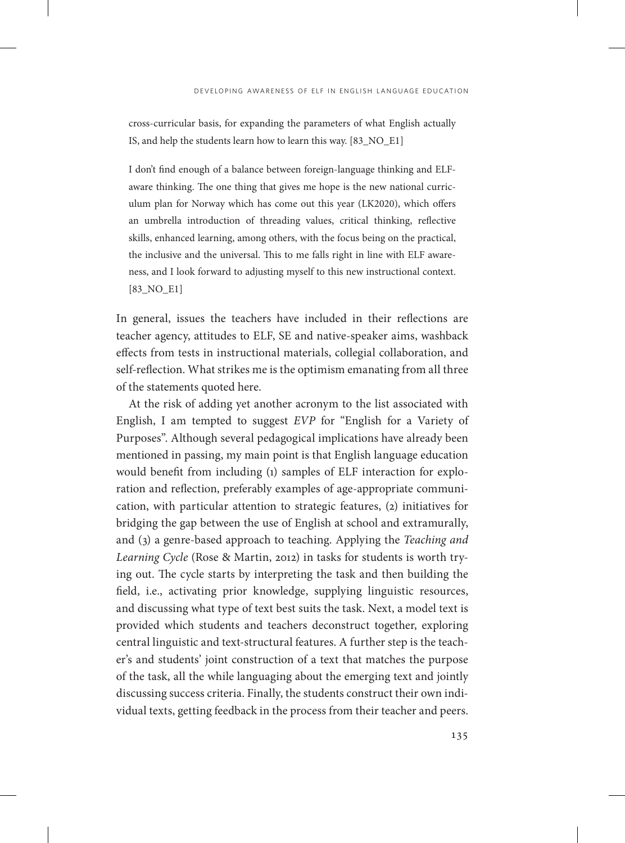cross-curricular basis, for expanding the parameters of what English actually IS, and help the students learn how to learn this way. [83\_NO\_E1]

I don't find enough of a balance between foreign-language thinking and ELFaware thinking. The one thing that gives me hope is the new national curriculum plan for Norway which has come out this year (LK2020), which offers an umbrella introduction of threading values, critical thinking, reflective skills, enhanced learning, among others, with the focus being on the practical, the inclusive and the universal. This to me falls right in line with ELF awareness, and I look forward to adjusting myself to this new instructional context. [83\_NO\_E1]

In general, issues the teachers have included in their reflections are teacher agency, attitudes to ELF, SE and native-speaker aims, washback effects from tests in instructional materials, collegial collaboration, and self-reflection. What strikes me is the optimism emanating from all three of the statements quoted here.

At the risk of adding yet another acronym to the list associated with English, I am tempted to suggest *EVP* for "English for a Variety of Purposes". Although several pedagogical implications have already been mentioned in passing, my main point is that English language education would benefit from including (1) samples of ELF interaction for exploration and reflection, preferably examples of age-appropriate communication, with particular attention to strategic features, (2) initiatives for bridging the gap between the use of English at school and extramurally, and (3) a genre-based approach to teaching. Applying the *Teaching and Learning Cycle* (Rose & Martin, 2012) in tasks for students is worth trying out. The cycle starts by interpreting the task and then building the field, i.e., activating prior knowledge, supplying linguistic resources, and discussing what type of text best suits the task. Next, a model text is provided which students and teachers deconstruct together, exploring central linguistic and text-structural features. A further step is the teacher's and students' joint construction of a text that matches the purpose of the task, all the while languaging about the emerging text and jointly discussing success criteria. Finally, the students construct their own individual texts, getting feedback in the process from their teacher and peers.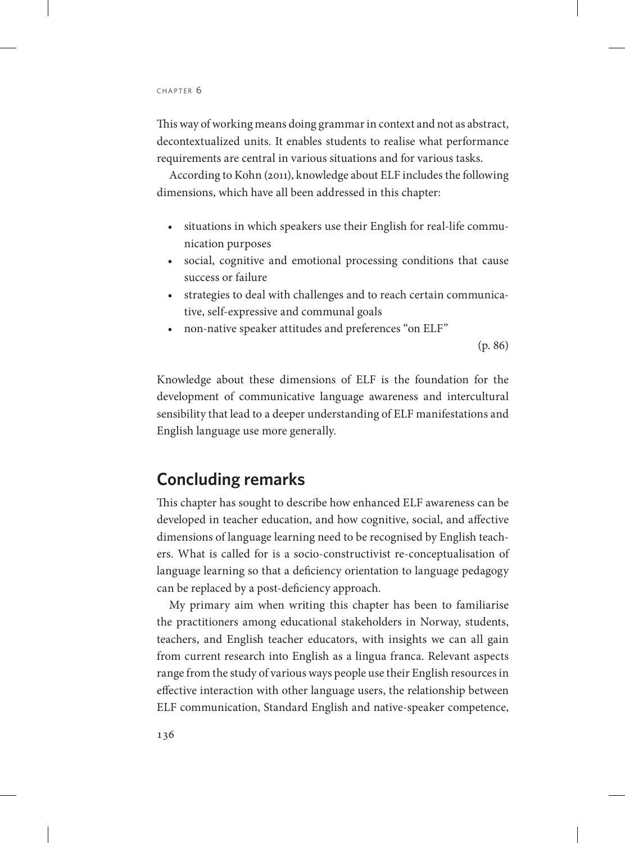This way of working means doing grammar in context and not as abstract, decontextualized units. It enables students to realise what performance requirements are central in various situations and for various tasks.

According to Kohn (2011), knowledge about ELF includes the following dimensions, which have all been addressed in this chapter:

- situations in which speakers use their English for real-life communication purposes
- social, cognitive and emotional processing conditions that cause success or failure
- strategies to deal with challenges and to reach certain communicative, self-expressive and communal goals
- non-native speaker attitudes and preferences "on ELF"

(p. 86)

Knowledge about these dimensions of ELF is the foundation for the development of communicative language awareness and intercultural sensibility that lead to a deeper understanding of ELF manifestations and English language use more generally.

## **Concluding remarks**

This chapter has sought to describe how enhanced ELF awareness can be developed in teacher education, and how cognitive, social, and affective dimensions of language learning need to be recognised by English teachers. What is called for is a socio-constructivist re-conceptualisation of language learning so that a deficiency orientation to language pedagogy can be replaced by a post-deficiency approach.

My primary aim when writing this chapter has been to familiarise the practitioners among educational stakeholders in Norway, students, teachers, and English teacher educators, with insights we can all gain from current research into English as a lingua franca. Relevant aspects range from the study of various ways people use their English resources in effective interaction with other language users, the relationship between ELF communication, Standard English and native-speaker competence,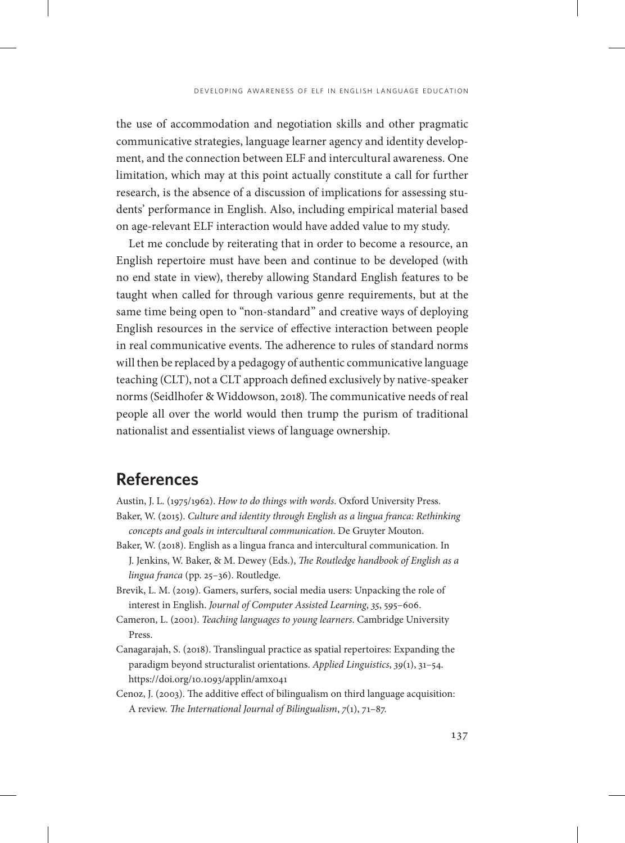the use of accommodation and negotiation skills and other pragmatic communicative strategies, language learner agency and identity development, and the connection between ELF and intercultural awareness. One limitation, which may at this point actually constitute a call for further research, is the absence of a discussion of implications for assessing students' performance in English. Also, including empirical material based on age-relevant ELF interaction would have added value to my study.

Let me conclude by reiterating that in order to become a resource, an English repertoire must have been and continue to be developed (with no end state in view), thereby allowing Standard English features to be taught when called for through various genre requirements, but at the same time being open to "non-standard" and creative ways of deploying English resources in the service of effective interaction between people in real communicative events. The adherence to rules of standard norms will then be replaced by a pedagogy of authentic communicative language teaching (CLT), not a CLT approach defined exclusively by native-speaker norms (Seidlhofer & Widdowson, 2018). The communicative needs of real people all over the world would then trump the purism of traditional nationalist and essentialist views of language ownership.

## **References**

- Austin, J. L. (1975/1962). *How to do things with words*. Oxford University Press.
- Baker, W. (2015). *Culture and identity through English as a lingua franca: Rethinking concepts and goals in intercultural communication*. De Gruyter Mouton.
- Baker, W. (2018). English as a lingua franca and intercultural communication. In J. Jenkins, W. Baker, & M. Dewey (Eds.), *The Routledge handbook of English as a lingua franca* (pp. 25–36). Routledge.
- Brevik, L. M. (2019). Gamers, surfers, social media users: Unpacking the role of interest in English. *Journal of Computer Assisted Learning*, *35*, 595–606.
- Cameron, L. (2001). *Teaching languages to young learners*. Cambridge University Press.
- Canagarajah, S. (2018). Translingual practice as spatial repertoires: Expanding the paradigm beyond structuralist orientations. *Applied Linguistics*, *39*(1), 31–54. <https://doi.org/10.1093/applin/amx041>
- Cenoz, J. (2003). The additive effect of bilingualism on third language acquisition: A review. *The International Journal of Bilingualism*, *7*(1), 71–87.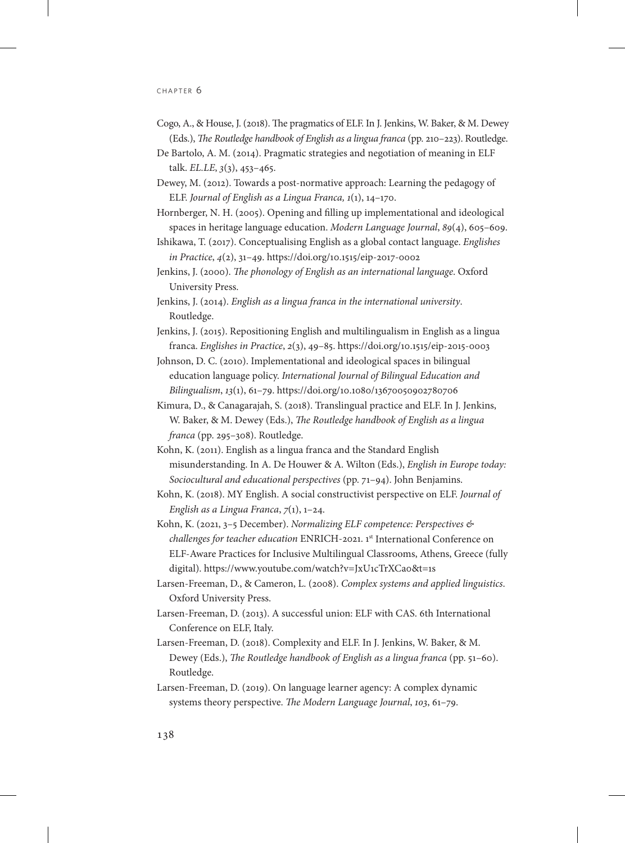- Cogo, A., & House, J. (2018). The pragmatics of ELF. In J. Jenkins, W. Baker, & M. Dewey (Eds.), *The Routledge handbook of English as a lingua franca* (pp. 210–223). Routledge.
- De Bartolo, A. M. (2014). Pragmatic strategies and negotiation of meaning in ELF talk. *EL.LE*, *3*(3), 453–465.
- Dewey, M. (2012). Towards a post-normative approach: Learning the pedagogy of ELF. *Journal of English as a Lingua Franca, 1*(1), 14–170.
- Hornberger, N. H. (2005). Opening and filling up implementational and ideological spaces in heritage language education. *Modern Language Journal*, *89*(4), 605–609.
- Ishikawa, T. (2017). Conceptualising English as a global contact language. *Englishes in Practice*, *4*(2), 31–49.<https://doi.org/10.1515/eip-2017-0002>
- Jenkins, J. (2000). *The phonology of English as an international language*. Oxford University Press.
- Jenkins, J. (2014). *English as a lingua franca in the international university*. Routledge.
- Jenkins, J. (2015). Repositioning English and multilingualism in English as a lingua franca. *Englishes in Practice*, *2*(3), 49–85. <https://doi.org/10.1515/eip-2015-0003>
- Johnson, D. C. (2010). Implementational and ideological spaces in bilingual education language policy. *International Journal of Bilingual Education and Bilingualism*, *13*(1), 61–79. <https://doi.org/10.1080/13670050902780706>
- Kimura, D., & Canagarajah, S. (2018). Translingual practice and ELF. In J. Jenkins, W. Baker, & M. Dewey (Eds.), *The Routledge handbook of English as a lingua franca* (pp. 295–308). Routledge.
- Kohn, K. (2011). English as a lingua franca and the Standard English misunderstanding. In A. De Houwer & A. Wilton (Eds.), *English in Europe today: Sociocultural and educational perspectives* (pp. 71–94). John Benjamins.
- Kohn, K. (2018). MY English. A social constructivist perspective on ELF. *Journal of English as a Lingua Franca*, *7*(1), 1–24.
- Kohn, K. (2021, 3–5 December). *Normalizing ELF competence: Perspectives & challenges for teacher education* ENRICH-2021. 1st International Conference on ELF-Aware Practices for Inclusive Multilingual Classrooms, Athens, Greece (fully digital).<https://www.youtube.com/watch?v=JxU1cTrXCa0&t=1s>
- Larsen-Freeman, D., & Cameron, L. (2008). *Complex systems and applied linguistics*. Oxford University Press.
- Larsen-Freeman, D. (2013). A successful union: ELF with CAS. 6th International Conference on ELF, Italy.
- Larsen-Freeman, D. (2018). Complexity and ELF. In J. Jenkins, W. Baker, & M. Dewey (Eds.), *The Routledge handbook of English as a lingua franca* (pp. 51–60). Routledge.
- Larsen-Freeman, D. (2019). On language learner agency: A complex dynamic systems theory perspective. *The Modern Language Journal*, *103*, 61–79.